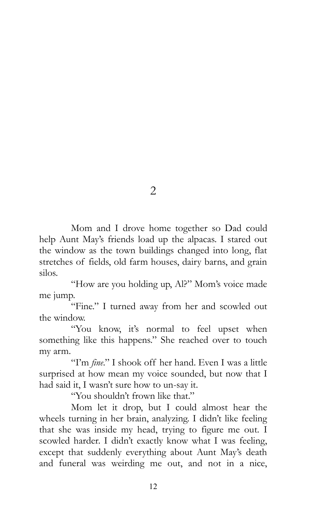2

Mom and I drove home together so Dad could help Aunt May's friends load up the alpacas. I stared out the window as the town buildings changed into long, flat stretches of fields, old farm houses, dairy barns, and grain silos.

"How are you holding up, Al?" Mom's voice made me jump.

"Fine." I turned away from her and scowled out the window.

"You know, it's normal to feel upset when something like this happens." She reached over to touch my arm.

"I'm *fine*." I shook off her hand. Even I was a little surprised at how mean my voice sounded, but now that I had said it, I wasn't sure how to un-say it.

"You shouldn't frown like that."

Mom let it drop, but I could almost hear the wheels turning in her brain, analyzing. I didn't like feeling that she was inside my head, trying to figure me out. I scowled harder. I didn't exactly know what I was feeling, except that suddenly everything about Aunt May's death and funeral was weirding me out, and not in a nice,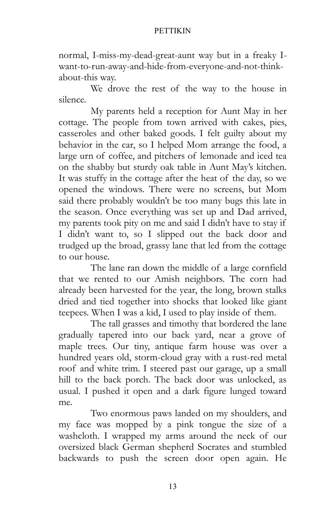normal, I-miss-my-dead-great-aunt way but in a freaky Iwant-to-run-away-and-hide-from-everyone-and-not-thinkabout-this way.

We drove the rest of the way to the house in silence.

My parents held a reception for Aunt May in her cottage. The people from town arrived with cakes, pies, casseroles and other baked goods. I felt guilty about my behavior in the car, so I helped Mom arrange the food, a large urn of coffee, and pitchers of lemonade and iced tea on the shabby but sturdy oak table in Aunt May's kitchen. It was stuffy in the cottage after the heat of the day, so we opened the windows. There were no screens, but Mom said there probably wouldn't be too many bugs this late in the season. Once everything was set up and Dad arrived, my parents took pity on me and said I didn't have to stay if I didn't want to, so I slipped out the back door and trudged up the broad, grassy lane that led from the cottage to our house.

The lane ran down the middle of a large cornfield that we rented to our Amish neighbors. The corn had already been harvested for the year, the long, brown stalks dried and tied together into shocks that looked like giant teepees. When I was a kid, I used to play inside of them.

The tall grasses and timothy that bordered the lane gradually tapered into our back yard, near a grove of maple trees. Our tiny, antique farm house was over a hundred years old, storm-cloud gray with a rust-red metal roof and white trim. I steered past our garage, up a small hill to the back porch. The back door was unlocked, as usual. I pushed it open and a dark figure lunged toward me.

Two enormous paws landed on my shoulders, and my face was mopped by a pink tongue the size of a washcloth. I wrapped my arms around the neck of our oversized black German shepherd Socrates and stumbled backwards to push the screen door open again. He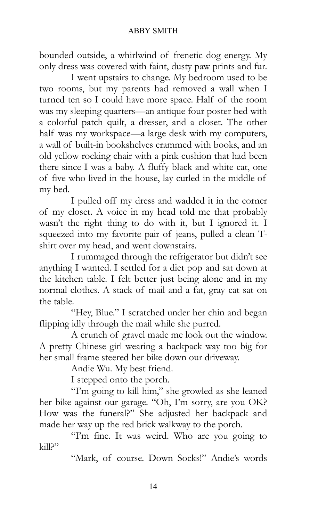bounded outside, a whirlwind of frenetic dog energy. My only dress was covered with faint, dusty paw prints and fur.

I went upstairs to change. My bedroom used to be two rooms, but my parents had removed a wall when I turned ten so I could have more space. Half of the room was my sleeping quarters—an antique four poster bed with a colorful patch quilt, a dresser, and a closet. The other half was my workspace—a large desk with my computers, a wall of built-in bookshelves crammed with books, and an old yellow rocking chair with a pink cushion that had been there since I was a baby. A fluffy black and white cat, one of five who lived in the house, lay curled in the middle of my bed.

I pulled off my dress and wadded it in the corner of my closet. A voice in my head told me that probably wasn't the right thing to do with it, but I ignored it. I squeezed into my favorite pair of jeans, pulled a clean Tshirt over my head, and went downstairs.

I rummaged through the refrigerator but didn't see anything I wanted. I settled for a diet pop and sat down at the kitchen table. I felt better just being alone and in my normal clothes. A stack of mail and a fat, gray cat sat on the table.

"Hey, Blue." I scratched under her chin and began flipping idly through the mail while she purred.

A crunch of gravel made me look out the window. A pretty Chinese girl wearing a backpack way too big for her small frame steered her bike down our driveway.

Andie Wu. My best friend.

I stepped onto the porch.

"I'm going to kill him," she growled as she leaned her bike against our garage. "Oh, I'm sorry, are you OK? How was the funeral?" She adjusted her backpack and made her way up the red brick walkway to the porch.

"I'm fine. It was weird. Who are you going to kill?"

"Mark, of course. Down Socks!" Andie's words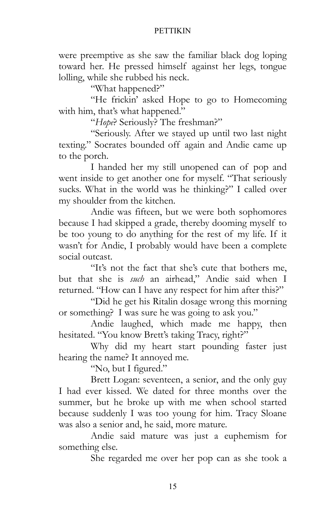were preemptive as she saw the familiar black dog loping toward her. He pressed himself against her legs, tongue lolling, while she rubbed his neck.

"What happened?"

"He frickin' asked Hope to go to Homecoming with him, that's what happened."

"*Hope*? Seriously? The freshman?"

"Seriously. After we stayed up until two last night texting." Socrates bounded off again and Andie came up to the porch.

I handed her my still unopened can of pop and went inside to get another one for myself. "That seriously sucks. What in the world was he thinking?" I called over my shoulder from the kitchen.

Andie was fifteen, but we were both sophomores because I had skipped a grade, thereby dooming myself to be too young to do anything for the rest of my life. If it wasn't for Andie, I probably would have been a complete social outcast.

"It's not the fact that she's cute that bothers me, but that she is *such* an airhead," Andie said when I returned. "How can I have any respect for him after this?"

"Did he get his Ritalin dosage wrong this morning or something? I was sure he was going to ask you."

Andie laughed, which made me happy, then hesitated. "You know Brett's taking Tracy, right?"

Why did my heart start pounding faster just hearing the name? It annoyed me.

"No, but I figured."

Brett Logan: seventeen, a senior, and the only guy I had ever kissed. We dated for three months over the summer, but he broke up with me when school started because suddenly I was too young for him. Tracy Sloane was also a senior and, he said, more mature.

Andie said mature was just a euphemism for something else.

She regarded me over her pop can as she took a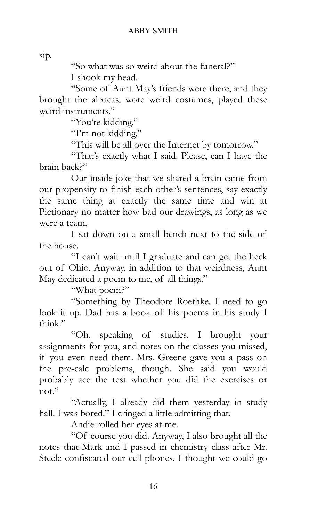sip.

"So what was so weird about the funeral?" I shook my head.

"Some of Aunt May's friends were there, and they brought the alpacas, wore weird costumes, played these weird instruments."

"You're kidding."

"I'm not kidding."

"This will be all over the Internet by tomorrow."

"That's exactly what I said. Please, can I have the brain back?"

Our inside joke that we shared a brain came from our propensity to finish each other's sentences, say exactly the same thing at exactly the same time and win at Pictionary no matter how bad our drawings, as long as we were a team.

I sat down on a small bench next to the side of the house.

"I can't wait until I graduate and can get the heck out of Ohio. Anyway, in addition to that weirdness, Aunt May dedicated a poem to me, of all things."

"What poem?"

"Something by Theodore Roethke. I need to go look it up. Dad has a book of his poems in his study I think."

"Oh, speaking of studies, I brought your assignments for you, and notes on the classes you missed, if you even need them. Mrs. Greene gave you a pass on the pre-calc problems, though. She said you would probably ace the test whether you did the exercises or not."

"Actually, I already did them yesterday in study hall. I was bored." I cringed a little admitting that.

Andie rolled her eyes at me.

"Of course you did. Anyway, I also brought all the notes that Mark and I passed in chemistry class after Mr. Steele confiscated our cell phones. I thought we could go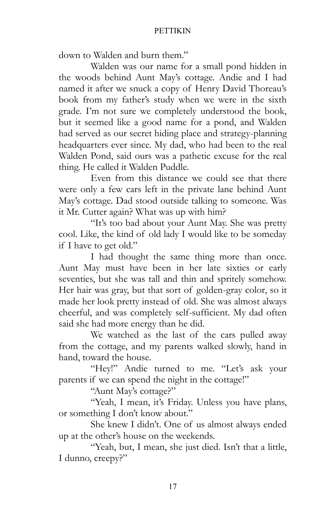down to Walden and burn them."

Walden was our name for a small pond hidden in the woods behind Aunt May's cottage. Andie and I had named it after we snuck a copy of Henry David Thoreau's book from my father's study when we were in the sixth grade. I'm not sure we completely understood the book, but it seemed like a good name for a pond, and Walden had served as our secret hiding place and strategy-planning headquarters ever since. My dad, who had been to the real Walden Pond, said ours was a pathetic excuse for the real thing. He called it Walden Puddle.

Even from this distance we could see that there were only a few cars left in the private lane behind Aunt May's cottage. Dad stood outside talking to someone. Was it Mr. Cutter again? What was up with him?

"It's too bad about your Aunt May. She was pretty cool. Like, the kind of old lady I would like to be someday if I have to get old."

I had thought the same thing more than once. Aunt May must have been in her late sixties or early seventies, but she was tall and thin and spritely somehow. Her hair was gray, but that sort of golden-gray color, so it made her look pretty instead of old. She was almost always cheerful, and was completely self-sufficient. My dad often said she had more energy than he did.

We watched as the last of the cars pulled away from the cottage, and my parents walked slowly, hand in hand, toward the house.

"Hey!" Andie turned to me. "Let's ask your parents if we can spend the night in the cottage!"

"Aunt May's cottage?"

"Yeah, I mean, it's Friday. Unless you have plans, or something I don't know about."

She knew I didn't. One of us almost always ended up at the other's house on the weekends.

"Yeah, but, I mean, she just died. Isn't that a little, I dunno, creepy?"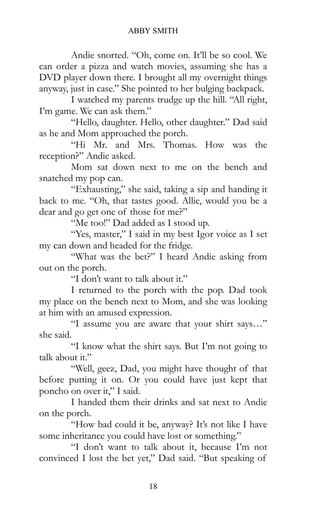Andie snorted. "Oh, come on. It'll be so cool. We can order a pizza and watch movies, assuming she has a DVD player down there. I brought all my overnight things anyway, just in case." She pointed to her bulging backpack.

I watched my parents trudge up the hill. "All right, I'm game. We can ask them."

"Hello, daughter. Hello, other daughter." Dad said as he and Mom approached the porch.

"Hi Mr. and Mrs. Thomas. How was the reception?" Andie asked.

Mom sat down next to me on the bench and snatched my pop can.

"Exhausting," she said, taking a sip and handing it back to me. "Oh, that tastes good. Allie, would you be a dear and go get one of those for me?"

"Me too!" Dad added as I stood up.

"Yes, master," I said in my best Igor voice as I set my can down and headed for the fridge.

"What was the bet?" I heard Andie asking from out on the porch.

"I don't want to talk about it."

I returned to the porch with the pop. Dad took my place on the bench next to Mom, and she was looking at him with an amused expression.

"I assume you are aware that your shirt says…" she said.

"I know what the shirt says. But I'm not going to talk about it."

"Well, geez, Dad, you might have thought of that before putting it on. Or you could have just kept that poncho on over it," I said.

I handed them their drinks and sat next to Andie on the porch.

"How bad could it be, anyway? It's not like I have some inheritance you could have lost or something."

"I don't want to talk about it, because I'm not convinced I lost the bet yet," Dad said. "But speaking of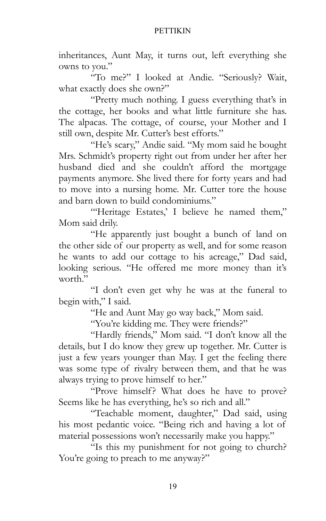inheritances, Aunt May, it turns out, left everything she owns to you."

"To me?" I looked at Andie. "Seriously? Wait, what exactly does she own?"

"Pretty much nothing. I guess everything that's in the cottage, her books and what little furniture she has. The alpacas. The cottage, of course, your Mother and I still own, despite Mr. Cutter's best efforts."

"He's scary," Andie said. "My mom said he bought Mrs. Schmidt's property right out from under her after her husband died and she couldn't afford the mortgage payments anymore. She lived there for forty years and had to move into a nursing home. Mr. Cutter tore the house and barn down to build condominiums."

"Heritage Estates,' I believe he named them," Mom said drily.

"He apparently just bought a bunch of land on the other side of our property as well, and for some reason he wants to add our cottage to his acreage," Dad said, looking serious. "He offered me more money than it's worth."

"I don't even get why he was at the funeral to begin with," I said.

"He and Aunt May go way back," Mom said.

"You're kidding me. They were friends?"

"Hardly friends," Mom said. "I don't know all the details, but I do know they grew up together. Mr. Cutter is just a few years younger than May. I get the feeling there was some type of rivalry between them, and that he was always trying to prove himself to her."

"Prove himself? What does he have to prove? Seems like he has everything, he's so rich and all."

"Teachable moment, daughter," Dad said, using his most pedantic voice. "Being rich and having a lot of material possessions won't necessarily make you happy."

"Is this my punishment for not going to church? You're going to preach to me anyway?"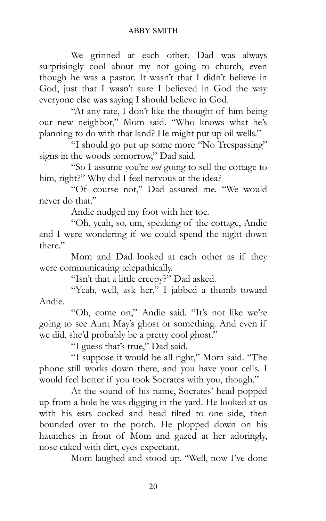We grinned at each other. Dad was always surprisingly cool about my not going to church, even though he was a pastor. It wasn't that I didn't believe in God, just that I wasn't sure I believed in God the way everyone else was saying I should believe in God.

"At any rate, I don't like the thought of him being our new neighbor," Mom said. "Who knows what he's planning to do with that land? He might put up oil wells."

"I should go put up some more "No Trespassing" signs in the woods tomorrow," Dad said.

"So I assume you're *not* going to sell the cottage to him, right?" Why did I feel nervous at the idea?

"Of course not," Dad assured me. "We would never do that."

Andie nudged my foot with her toe.

"Oh, yeah, so, um, speaking of the cottage, Andie and I were wondering if we could spend the night down there."

Mom and Dad looked at each other as if they were communicating telepathically.

"Isn't that a little creepy?" Dad asked.

"Yeah, well, ask her," I jabbed a thumb toward Andie.

"Oh, come on," Andie said. "It's not like we're going to see Aunt May's ghost or something. And even if we did, she'd probably be a pretty cool ghost."

"I guess that's true," Dad said.

"I suppose it would be all right," Mom said. "The phone still works down there, and you have your cells. I would feel better if you took Socrates with you, though."

At the sound of his name, Socrates' head popped up from a hole he was digging in the yard. He looked at us with his ears cocked and head tilted to one side, then bounded over to the porch. He plopped down on his haunches in front of Mom and gazed at her adoringly, nose caked with dirt, eyes expectant.

Mom laughed and stood up. "Well, now I've done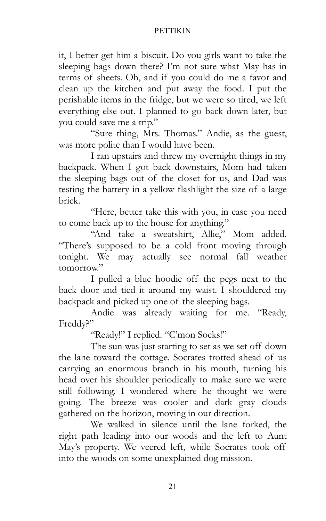it, I better get him a biscuit. Do you girls want to take the sleeping bags down there? I'm not sure what May has in terms of sheets. Oh, and if you could do me a favor and clean up the kitchen and put away the food. I put the perishable items in the fridge, but we were so tired, we left everything else out. I planned to go back down later, but you could save me a trip."

"Sure thing, Mrs. Thomas." Andie, as the guest, was more polite than I would have been.

I ran upstairs and threw my overnight things in my backpack. When I got back downstairs, Mom had taken the sleeping bags out of the closet for us, and Dad was testing the battery in a yellow flashlight the size of a large brick.

"Here, better take this with you, in case you need to come back up to the house for anything."

"And take a sweatshirt, Allie," Mom added. "There's supposed to be a cold front moving through tonight. We may actually see normal fall weather tomorrow."

I pulled a blue hoodie off the pegs next to the back door and tied it around my waist. I shouldered my backpack and picked up one of the sleeping bags.

Andie was already waiting for me. "Ready, Freddy?"

"Ready!" I replied. "C'mon Socks!"

The sun was just starting to set as we set off down the lane toward the cottage. Socrates trotted ahead of us carrying an enormous branch in his mouth, turning his head over his shoulder periodically to make sure we were still following. I wondered where he thought we were going. The breeze was cooler and dark gray clouds gathered on the horizon, moving in our direction.

We walked in silence until the lane forked, the right path leading into our woods and the left to Aunt May's property. We veered left, while Socrates took off into the woods on some unexplained dog mission.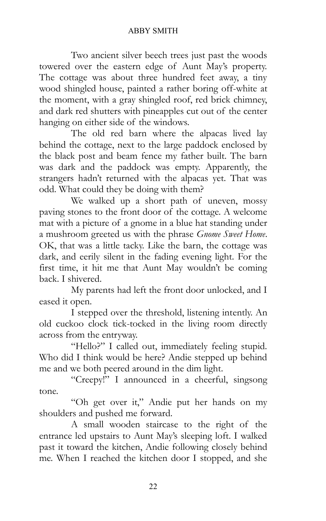Two ancient silver beech trees just past the woods towered over the eastern edge of Aunt May's property. The cottage was about three hundred feet away, a tiny wood shingled house, painted a rather boring off-white at the moment, with a gray shingled roof, red brick chimney, and dark red shutters with pineapples cut out of the center hanging on either side of the windows.

The old red barn where the alpacas lived lay behind the cottage, next to the large paddock enclosed by the black post and beam fence my father built. The barn was dark and the paddock was empty. Apparently, the strangers hadn't returned with the alpacas yet. That was odd. What could they be doing with them?

We walked up a short path of uneven, mossy paving stones to the front door of the cottage. A welcome mat with a picture of a gnome in a blue hat standing under a mushroom greeted us with the phrase *Gnome Sweet Home*. OK, that was a little tacky. Like the barn, the cottage was dark, and eerily silent in the fading evening light. For the first time, it hit me that Aunt May wouldn't be coming back. I shivered.

My parents had left the front door unlocked, and I eased it open.

I stepped over the threshold, listening intently. An old cuckoo clock tick-tocked in the living room directly across from the entryway.

"Hello?" I called out, immediately feeling stupid. Who did I think would be here? Andie stepped up behind me and we both peered around in the dim light.

"Creepy!" I announced in a cheerful, singsong tone.

"Oh get over it," Andie put her hands on my shoulders and pushed me forward.

A small wooden staircase to the right of the entrance led upstairs to Aunt May's sleeping loft. I walked past it toward the kitchen, Andie following closely behind me. When I reached the kitchen door I stopped, and she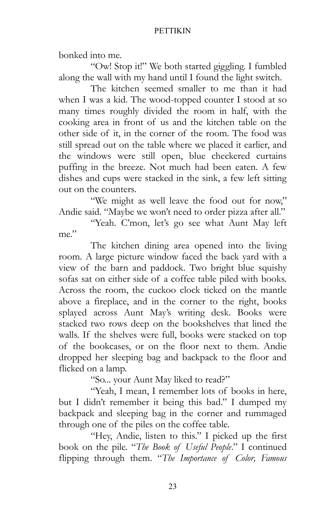bonked into me.

"Ow! Stop it!" We both started giggling. I fumbled along the wall with my hand until I found the light switch.

The kitchen seemed smaller to me than it had when I was a kid. The wood-topped counter I stood at so many times roughly divided the room in half, with the cooking area in front of us and the kitchen table on the other side of it, in the corner of the room. The food was still spread out on the table where we placed it earlier, and the windows were still open, blue checkered curtains puffing in the breeze. Not much had been eaten. A few dishes and cups were stacked in the sink, a few left sitting out on the counters.

"We might as well leave the food out for now," Andie said. "Maybe we won't need to order pizza after all."

"Yeah. C'mon, let's go see what Aunt May left me."

The kitchen dining area opened into the living room. A large picture window faced the back yard with a view of the barn and paddock. Two bright blue squishy sofas sat on either side of a coffee table piled with books. Across the room, the cuckoo clock ticked on the mantle above a fireplace, and in the corner to the right, books splayed across Aunt May's writing desk. Books were stacked two rows deep on the bookshelves that lined the walls. If the shelves were full, books were stacked on top of the bookcases, or on the floor next to them. Andie dropped her sleeping bag and backpack to the floor and flicked on a lamp.

"So... your Aunt May liked to read?"

"Yeah, I mean, I remember lots of books in here, but I didn't remember it being this bad." I dumped my backpack and sleeping bag in the corner and rummaged through one of the piles on the coffee table.

"Hey, Andie, listen to this." I picked up the first book on the pile. "*The Book of Useful People*." I continued flipping through them. "*The Importance of Color, Famous*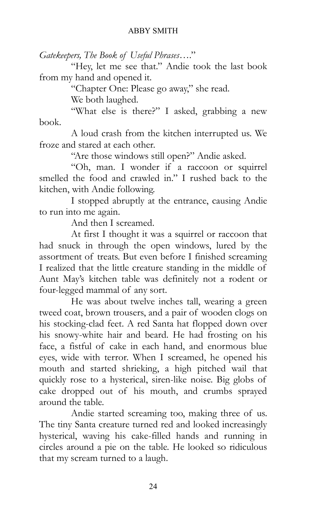*Gatekeepers, The Book of Useful Phrases*…."

"Hey, let me see that." Andie took the last book from my hand and opened it.

"Chapter One: Please go away," she read.

We both laughed.

"What else is there?" I asked, grabbing a new book.

A loud crash from the kitchen interrupted us. We froze and stared at each other.

"Are those windows still open?" Andie asked.

"Oh, man. I wonder if a raccoon or squirrel smelled the food and crawled in." I rushed back to the kitchen, with Andie following.

I stopped abruptly at the entrance, causing Andie to run into me again.

And then I screamed.

At first I thought it was a squirrel or raccoon that had snuck in through the open windows, lured by the assortment of treats. But even before I finished screaming I realized that the little creature standing in the middle of Aunt May's kitchen table was definitely not a rodent or four-legged mammal of any sort.

He was about twelve inches tall, wearing a green tweed coat, brown trousers, and a pair of wooden clogs on his stocking-clad feet. A red Santa hat flopped down over his snowy-white hair and beard. He had frosting on his face, a fistful of cake in each hand, and enormous blue eyes, wide with terror. When I screamed, he opened his mouth and started shrieking, a high pitched wail that quickly rose to a hysterical, siren-like noise. Big globs of cake dropped out of his mouth, and crumbs sprayed around the table.

Andie started screaming too, making three of us. The tiny Santa creature turned red and looked increasingly hysterical, waving his cake-filled hands and running in circles around a pie on the table. He looked so ridiculous that my scream turned to a laugh.